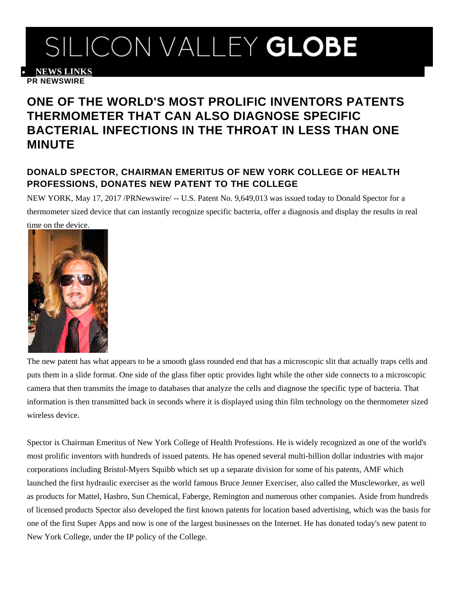## SILICON VALLEY GLOBE

• **[NEWS LINKS](http://www.siliconvalleyglobe.com/prnewswire/?rkey=20170517NY92340&filter=6616) PR NEWSWIRE**

## **ONE OF THE WORLD'S MOST PROLIFIC INVENTORS PATENTS THERMOMETER THAT CAN ALSO DIAGNOSE SPECIFIC BACTERIAL INFECTIONS IN THE THROAT IN LESS THAN ONE MINUTE**

## **DONALD SPECTOR, CHAIRMAN EMERITUS OF NEW YORK COLLEGE OF HEALTH PROFESSIONS, DONATES NEW PATENT TO THE COLLEGE**

NEW YORK, May 17, 2017 /PRNewswire/ -- U.S. Patent No. 9,649,013 was issued today to Donald Spector for a thermometer sized device that can instantly recognize specific bacteria, offer a diagnosis and display the results in real time on the device.



The new patent has what appears to be a smooth glass rounded end that has a microscopic slit that actually traps cells and puts them in a slide format. One side of the glass fiber optic provides light while the other side connects to a microscopic camera that then transmits the image to databases that analyze the cells and diagnose the specific type of bacteria. That information is then transmitted back in seconds where it is displayed using thin film technology on the thermometer sized wireless device.

Spector is Chairman Emeritus of New York College of Health Professions. He is widely recognized as one of the world's most prolific inventors with hundreds of issued patents. He has opened several multi-billion dollar industries with major corporations including Bristol-Myers Squibb which set up a separate division for some of his patents, AMF which launched the first hydraulic exerciser as the world famous Bruce Jenner Exerciser, also called the Muscleworker, as well as products for Mattel, Hasbro, Sun Chemical, Faberge, Remington and numerous other companies. Aside from hundreds of licensed products Spector also developed the first known patents for location based advertising, which was the basis for one of the first Super Apps and now is one of the largest businesses on the Internet. He has donated today's new patent to New York College, under the IP policy of the College.